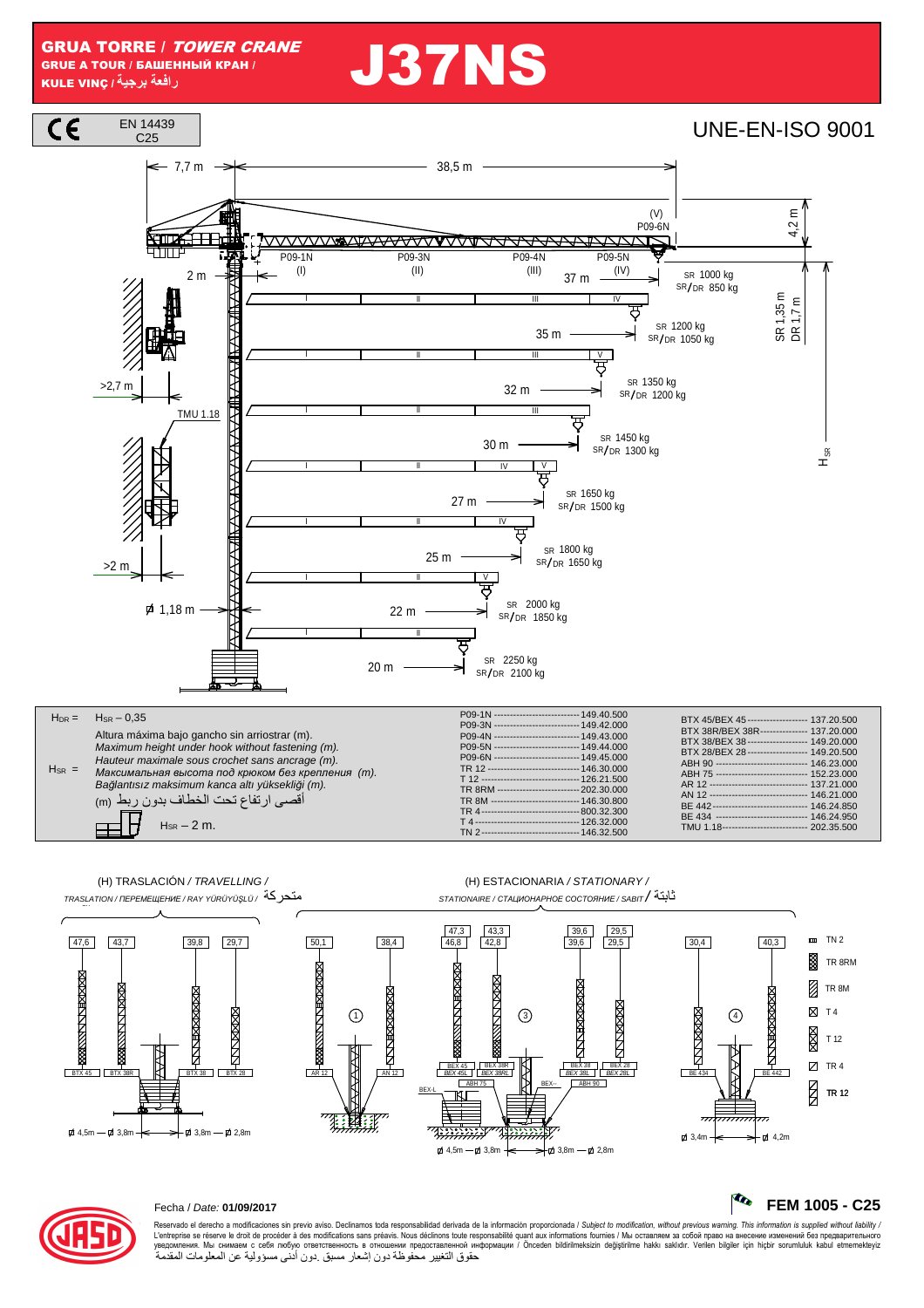# **J37NS**







### Fecha / Date: 01/09/2017

Reservado el derecho a modificaciones sin previo aviso. Declinamos toda responsabilidad derivada de la información proporcionada / Subject to modification, without previous warning. This information is supplied without li сыносложность отношения представленной информации / Onceden bildirilmeksizin degistrilme hakki saklidir. Verilen bilgiler için hiçbir sorumluluk kabul etmemekteyz<br>حقوق التغيير محفوظة دون إشعار مسبق دون أننى مسؤولية عن ال

#### R. FEM 1005 - C25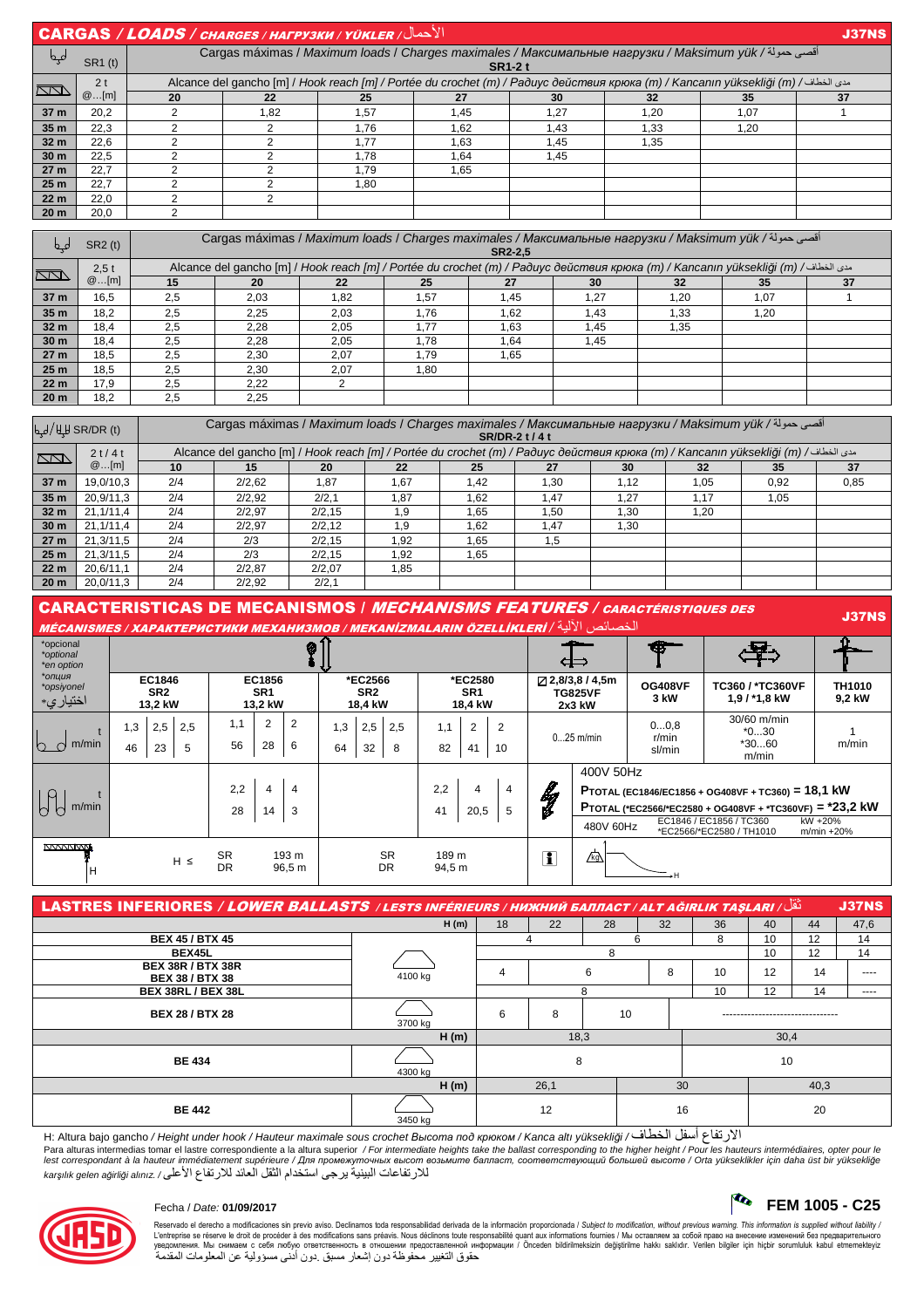|                     | $ CARGAS / LOADS / c^{HARGES / HATPY3KH / YÜKLER / V$<br><b>J37NS</b> |                                                                                                                                                                                                                        |                                                                                                                        |      |      |      |      |      |    |  |  |  |  |
|---------------------|-----------------------------------------------------------------------|------------------------------------------------------------------------------------------------------------------------------------------------------------------------------------------------------------------------|------------------------------------------------------------------------------------------------------------------------|------|------|------|------|------|----|--|--|--|--|
| مہم                 | <b>SR1</b> (t)                                                        |                                                                                                                                                                                                                        | أقصى حمولة/ Carqas máximas / Maximum loads / Charqes maximales / Максимальные нагрузки / Maksimum yük<br><b>SR1-2t</b> |      |      |      |      |      |    |  |  |  |  |
| $\overline{\wedge}$ | 2 <sub>t</sub>                                                        | Alcance del gancho [m] / Hook reach [m] / Portée du crochet (m) / Радиус действия крюка (m) / Kancanın yüksekliği (m) / ططاف / Alcance del gancho [m] / Hook reach [m] / Portée du crochet (m) / Paduyc действия крюка |                                                                                                                        |      |      |      |      |      |    |  |  |  |  |
|                     | @[m]                                                                  | 20                                                                                                                                                                                                                     | 22                                                                                                                     | 25   | 27   | 30   | 32   | 35   | 37 |  |  |  |  |
| 37 m                | 20.2                                                                  |                                                                                                                                                                                                                        | 1.82                                                                                                                   | 1.57 | 1.45 | 1.27 | 1.20 | 1.07 |    |  |  |  |  |
| 35 <sub>m</sub>     | 22.3                                                                  |                                                                                                                                                                                                                        |                                                                                                                        | 1.76 | .62  | 1.43 | 1.33 | 1.20 |    |  |  |  |  |
| 32 <sub>m</sub>     | 22.6                                                                  |                                                                                                                                                                                                                        |                                                                                                                        | 1.77 | 1.63 | 1.45 | 1,35 |      |    |  |  |  |  |
| 30 <sub>m</sub>     | 22.5                                                                  |                                                                                                                                                                                                                        |                                                                                                                        | 1.78 | 1,64 | 1.45 |      |      |    |  |  |  |  |
| 27 <sub>m</sub>     | 22.7                                                                  |                                                                                                                                                                                                                        |                                                                                                                        | 1.79 | 1.65 |      |      |      |    |  |  |  |  |
| 25 <sub>m</sub>     | 22.7                                                                  |                                                                                                                                                                                                                        |                                                                                                                        | 1.80 |      |      |      |      |    |  |  |  |  |
| 22 <sub>m</sub>     | 22.0                                                                  |                                                                                                                                                                                                                        |                                                                                                                        |      |      |      |      |      |    |  |  |  |  |
| 20 <sub>m</sub>     | 20.0                                                                  |                                                                                                                                                                                                                        |                                                                                                                        |      |      |      |      |      |    |  |  |  |  |

|                 | SR2(t) | أقصى حمولة/ Cargas máximas / Maximum loads / Charges maximales / Максимальные нагрузки / Maksimum yük<br>SR2-2.5 |                                                                                                                                                 |      |      |      |      |      |      |  |  |  |  |  |  |
|-----------------|--------|------------------------------------------------------------------------------------------------------------------|-------------------------------------------------------------------------------------------------------------------------------------------------|------|------|------|------|------|------|--|--|--|--|--|--|
| <b>INTO</b>     | 2.5t   |                                                                                                                  | مدى الخطاف/ Alcance del gancho [m] / Hook reach [m] / Portée du crochet (m) / Радиус действия крюка (m) / Kancanın yüksekliği (m) / مدى الخطاف/ |      |      |      |      |      |      |  |  |  |  |  |  |
|                 | @[m]   | 15                                                                                                               | 20                                                                                                                                              | 22   | 25   |      | 30   | 32   | 35   |  |  |  |  |  |  |
| 37 m            | 16.5   | 2,5                                                                                                              | 2,03                                                                                                                                            | 1.82 | 1.57 | 1.45 | 1.27 | 1,20 | 1.07 |  |  |  |  |  |  |
| 35 <sub>m</sub> | 18.2   | 2,5                                                                                                              | 2.25                                                                                                                                            | 2.03 | .76  | 1.62 | 1.43 | .33  | 1.20 |  |  |  |  |  |  |
| 32 <sub>m</sub> | 18.4   | 2,5                                                                                                              | 2,28                                                                                                                                            | 2.05 | .77  | 1.63 | 1.45 | 1,35 |      |  |  |  |  |  |  |
| 30 <sub>m</sub> | 18.4   | 2.5                                                                                                              | 2.28                                                                                                                                            | 2.05 | .78  | 1.64 | 1.45 |      |      |  |  |  |  |  |  |
| 27 <sub>m</sub> | 18.5   | 2,5                                                                                                              | 2.30                                                                                                                                            | 2.07 | .79  | 1.65 |      | __   | __   |  |  |  |  |  |  |
| 25 <sub>m</sub> | 18.5   | 2,5                                                                                                              | 2.30                                                                                                                                            | 2.07 | l.80 |      |      |      |      |  |  |  |  |  |  |
| 22 <sub>m</sub> | 17.9   | 2,5                                                                                                              | 2.22                                                                                                                                            |      | ---  |      |      |      |      |  |  |  |  |  |  |
| 20 <sub>m</sub> | 18.2   | 2,5                                                                                                              | 2,25                                                                                                                                            |      |      |      |      |      |      |  |  |  |  |  |  |

|                         | $\frac{1}{2}$ ليط/ للبيط SR/DR (t) | أقصى حمولة/ Cargas máximas / Maximum loads / Charges maximales / Максимальные нагрузки / Maksimum yük<br>SR/DR-2 t / 4 t                                                                                                    |        |        |      |      |      |      |      |      |      |  |  |  |  |
|-------------------------|------------------------------------|-----------------------------------------------------------------------------------------------------------------------------------------------------------------------------------------------------------------------------|--------|--------|------|------|------|------|------|------|------|--|--|--|--|
| $\overline{\mathbb{Z}}$ | 2t/4t                              | Alcance del gancho [m] / Hook reach [m] / Portée du crochet (m) / Радиус действия крюка (m) / Kancanın yüksekliği (m) / مدى الخطاف/ Alcance del gancho [m] / Hook reach [m] / Portée du crochet (m) / Paдиус действия крюка |        |        |      |      |      |      |      |      |      |  |  |  |  |
|                         | @[m]                               | 10                                                                                                                                                                                                                          | 15     | 20     | 22   | 25   | 27   | 30   | 32   | 35   | 37   |  |  |  |  |
| 37 m                    | 19.0/10.3                          | 2/4                                                                                                                                                                                                                         | 2/2.62 | 1.87   | 1.67 | 1.42 | .30  | 1.12 | 1.05 | 0.92 | 0,85 |  |  |  |  |
| 35 <sub>m</sub>         | 20.9/11.3                          | 2/4                                                                                                                                                                                                                         | 2/2,92 | 2/2,1  | 1.87 | .62  | .47  | 1.27 | 1.17 | 1.05 |      |  |  |  |  |
| 32 <sub>m</sub>         | 21.1/11.4                          | 2/4                                                                                                                                                                                                                         | 2/2,97 | 2/2.15 | 1,9  | .65  | .50  | l.30 | 1.20 |      |      |  |  |  |  |
| 30 <sub>m</sub>         | 21.1/11.4                          | 2/4                                                                                                                                                                                                                         | 2/2,97 | 2/2.12 | 1.9  | 1.62 | 1,47 | 1,30 |      |      |      |  |  |  |  |
| 27 <sub>m</sub>         | 21.3/11.5                          | 2/4                                                                                                                                                                                                                         | 2/3    | 2/2.15 | 1.92 | 1.65 | 1,5  |      |      |      |      |  |  |  |  |
| 25 <sub>m</sub>         | 21.3/11.5                          | 2/4                                                                                                                                                                                                                         | 2/3    | 2/2.15 | 1.92 | 1,65 |      |      |      |      |      |  |  |  |  |
| 22 <sub>m</sub>         | 20.6/11.1                          | 2/4                                                                                                                                                                                                                         | 2/2.87 | 2/2.07 | 1,85 |      |      |      |      |      |      |  |  |  |  |
| 20 <sub>m</sub>         | 20.0/11.3                          | 2/4                                                                                                                                                                                                                         | 2/2.92 | 2/2.1  |      |      |      |      |      |      |      |  |  |  |  |

CARACTERISTICAS DE MECANISMOS / MECHANISMS FEATURES / CARACTÉRISTIQUES DES MECANISMES *MEXANISMOR / MEKANİZMALARIN ÖZELLİKLERİ* / ŠI<sup>I (</sup>1 الخصي*ل المسترد العالم* المسترد العالم المسترد العالم المسترد العالم المسترد العالم المسترد العالم ال<br>الخص

| *opcional<br>*optional<br>*en option | Ø         |                                      |          |                                      |                            |                     |                                       |           |                 |                           |                      | والمستنقص<br>⊄⇒      |                                          |                                                     | $\mathbf{F}$            |                                             |                         |  |  |                                                          |  |  |
|--------------------------------------|-----------|--------------------------------------|----------|--------------------------------------|----------------------------|---------------------|---------------------------------------|-----------|-----------------|---------------------------|----------------------|----------------------|------------------------------------------|-----------------------------------------------------|-------------------------|---------------------------------------------|-------------------------|--|--|----------------------------------------------------------|--|--|
| *опция<br>*opsiyonel<br>اختيار ي*    |           | EC1846<br>SR <sub>2</sub><br>13,2 kW |          | EC1856<br>SR <sub>1</sub><br>13,2 kW |                            |                     | *EC2566<br>SR <sub>2</sub><br>18,4 kW |           |                 | *EC2580<br>SR1<br>18,4 kW |                      |                      | 2,8/3,8/4,5m<br><b>TG825VF</b><br>2x3 kW |                                                     | <b>OG408VF</b><br>3 kW  | TC360 / *TC360VF<br>1,9 / *1,8 kW           | <b>TH1010</b><br>9,2 kW |  |  |                                                          |  |  |
| m/min<br>h                           | 1,3<br>46 | 2,5<br>23                            | 2,5<br>5 | 1,1<br>56                            | 2<br>28                    | $\overline{2}$<br>6 | 1,3<br>64                             | 2,5<br>32 | 2,5<br>8        | 1,1<br>82                 | $\overline{2}$<br>41 | $\overline{2}$<br>10 |                                          | $025$ m/min                                         | 00.8<br>r/min<br>sl/min | $30/60$ m/min<br>$*030$<br>$*3060$<br>m/min | m/min                   |  |  |                                                          |  |  |
|                                      |           |                                      |          |                                      |                            |                     |                                       |           |                 |                           |                      |                      |                                          | 400V 50Hz                                           |                         |                                             |                         |  |  |                                                          |  |  |
| $\alpha$                             |           |                                      |          |                                      | 2,2<br>$\overline{4}$<br>4 |                     |                                       |           |                 | 2,2                       | 4                    | 4                    | ł                                        | PTOTAL (EC1846/EC1856 + OG408VF + TC360) = 18,1 kW  |                         |                                             |                         |  |  |                                                          |  |  |
| m/min                                |           |                                      |          |                                      |                            |                     |                                       |           | 28<br>14<br>3   |                           |                      |                      |                                          |                                                     | 41<br>20,5<br>5         |                                             |                         |  |  | PTOTAL (*EC2566/*EC2580 + OG408VF + *TC360VF) = *23,2 kW |  |  |
|                                      |           |                                      |          |                                      |                            |                     |                                       |           |                 |                           |                      | 480V 60Hz            |                                          | EC1846 / EC1856 / TC360<br>*EC2566/*EC2580 / TH1010 | kW +20%<br>m/min +20%   |                                             |                         |  |  |                                                          |  |  |
| <b>NVVVVWW</b><br>н                  |           |                                      | $H \leq$ | <b>SR</b><br>DR                      |                            | 193 m<br>96,5 m     |                                       |           | <b>SR</b><br>DR | 189 m<br>94,5 m           |                      |                      | T                                        | $\sqrt{k}$                                          |                         |                                             |                         |  |  |                                                          |  |  |

| $\sim$ LASTRES INFERIORES / LOWER BALLASTS / LESTS INFÉRIEURS / НИЖНИЙ БАЛЛАСТ / ALT AĞIRLIK TAŞLARI<br><b>J37NS</b> |         |              |         |    |    |    |    |      |          |  |  |
|----------------------------------------------------------------------------------------------------------------------|---------|--------------|---------|----|----|----|----|------|----------|--|--|
|                                                                                                                      | H(m)    | 18           | 22      | 28 | 32 | 36 | 40 | 44   | 47,6     |  |  |
| <b>BEX 45 / BTX 45</b>                                                                                               |         |              |         |    | 6  | 8  | 10 | 12   | 14       |  |  |
| BEX45L                                                                                                               |         |              |         | 8  |    |    | 10 | 12   | 14       |  |  |
| <b>BEX 38R / BTX 38R</b><br><b>BEX 38 / BTX 38</b>                                                                   | 4100 kg | 6<br>4       |         |    | 8  | 10 | 12 | 14   | $\cdots$ |  |  |
| BEX 38RL / BEX 38L                                                                                                   |         |              |         | 8  |    | 10 | 12 | 14   | $\cdots$ |  |  |
| <b>BEX 28 / BTX 28</b>                                                                                               | 3700 kg | 6            | 8<br>10 |    |    |    |    |      |          |  |  |
|                                                                                                                      | H(m)    | 18,3<br>30,4 |         |    |    |    |    |      |          |  |  |
| <b>BE 434</b>                                                                                                        | 4300 kg |              | 8       |    |    | 10 |    |      |          |  |  |
|                                                                                                                      | H(m)    |              | 26,1    |    |    | 30 |    | 40,3 |          |  |  |
| <b>BE 442</b>                                                                                                        | 3450 kg | 12           |         |    |    | 16 |    | 20   |          |  |  |

الارتفاع أسفل الخطاف/ Hi Altura bajo gancho */ Height under hook / Hauteur maximale sous crochet Высота под крюком / Kanca altı yüksekliği /* 

Para alturas intermedias tomar el lastre correspondiente a la altura superior / For intermediate heights take the ballast corresponding to the higher height / Pour les hauteurs intermédiaires, opter pour le<br>lest correspon للار تفاعات البينية يرجى استخدام الثقل العائد للار تفاع الأعلى/ ˌkarşılık gelen ağırlığı alınız



# Fecha / Date: **01/09/2017 FEM 1005 - C25**

Reservado el derecho a modificaciones sin previo aviso. Declinamos toda responsabilidad derivada de la información proporcionada / Subjec*t to modification, without previous warning. This information is supplied without*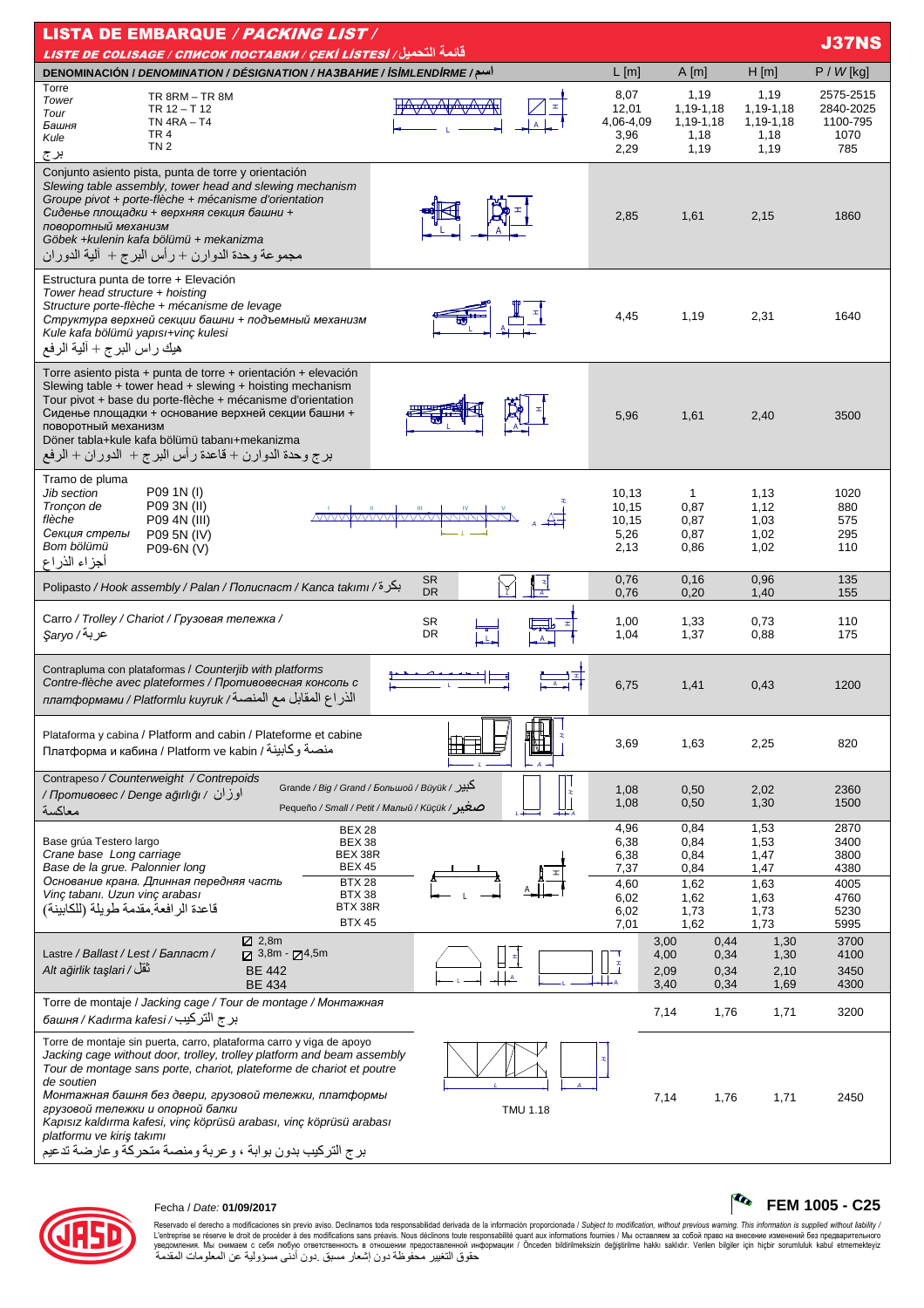| <b>LISTA DE EMBARQUE / PACKING LIST /</b>                                                                                                                                                                                                                                                                                                                                                                                                                                                                             |                                                |                                                              |                                                   |  |  |  |  |  |  |
|-----------------------------------------------------------------------------------------------------------------------------------------------------------------------------------------------------------------------------------------------------------------------------------------------------------------------------------------------------------------------------------------------------------------------------------------------------------------------------------------------------------------------|------------------------------------------------|--------------------------------------------------------------|---------------------------------------------------|--|--|--|--|--|--|
| قائمة التحميل / LISTE DE COLISAGE / СПИСОК ПОСТАВКИ / ÇEKİ LISTESI                                                                                                                                                                                                                                                                                                                                                                                                                                                    |                                                |                                                              | <b>J37NS</b>                                      |  |  |  |  |  |  |
| DENOMINACIÓN / DENOMINATION / DÉSIGNATION / HA3BAHUE / İSİMLENDİRME /<br>$L$ [m]<br>Torre                                                                                                                                                                                                                                                                                                                                                                                                                             | A[m]                                           | H[m]                                                         | $P / W$ [kg]                                      |  |  |  |  |  |  |
| 8,07<br>TR 8RM - TR 8M<br>Tower<br>12,01<br>TR 12 - T 12<br>Tour<br>$TN$ 4RA $-$ T4<br>4,06-4,09<br>Башня<br>TR <sub>4</sub><br>3,96<br>Kule<br>TN <sub>2</sub><br>2,29<br>برج                                                                                                                                                                                                                                                                                                                                        | 1,19<br>1,19-1,18<br>1,19-1,18<br>1,18<br>1,19 | 1,19<br>1.19-1.18<br>1,19-1,18<br>1,18<br>1,19               | 2575-2515<br>2840-2025<br>1100-795<br>1070<br>785 |  |  |  |  |  |  |
| Conjunto asiento pista, punta de torre y orientación<br>Slewing table assembly, tower head and slewing mechanism<br>Groupe pivot + porte-flèche + mécanisme d'orientation<br>Сиденье площадки + верхняя секция башни +<br>2,85<br>поворотный механизм<br>Göbek + kulenin kafa bölümü + mekanizma<br>مجموعة وحدة الدوارن + رأس البرج + ألية الدوران                                                                                                                                                                    | 1,61                                           | 2,15                                                         | 1860                                              |  |  |  |  |  |  |
| Estructura punta de torre + Elevación<br>Tower head structure + hoisting<br>Structure porte-flèche + mécanisme de levage<br>4,45<br>Структура верхней секции башни + подъемный механизм<br>Kule kafa bölümü yapısı+vinç kulesi<br>هيك راس البرج + آلية الرفع                                                                                                                                                                                                                                                          | 1,19                                           | 2,31                                                         | 1640                                              |  |  |  |  |  |  |
| Torre asiento pista + punta de torre + orientación + elevación<br>Slewing table $+$ tower head $+$ slewing $+$ hoisting mechanism<br>Tour pivot + base du porte-flèche + mécanisme d'orientation<br>Сиденье площадки + основание верхней секции башни +<br>5,96<br>поворотный механизм<br>Döner tabla+kule kafa bölümü tabanı+mekanizma<br>برج وحدة الدوارن + قاعدة رأس البرج + الدوران + الرفع                                                                                                                       | 1,61                                           | 2,40                                                         | 3500                                              |  |  |  |  |  |  |
| Tramo de pluma<br>P09 1N (I)<br>Jib section<br>10,13<br>P09 3N (II)<br>Troncon de<br>10,15<br>flèche<br>P09 4N (III)<br>10,15<br>Секция стрелы<br>5,26<br>P09 5N (IV)<br>Bom bölümü<br>2,13<br>P09-6N (V)<br>أجزاء الذراع                                                                                                                                                                                                                                                                                             | $\mathbf{1}$<br>0,87<br>0,87<br>0,87<br>0,86   | 1,13<br>1,12<br>1,03<br>1,02<br>1,02                         | 1020<br>880<br>575<br>295<br>110                  |  |  |  |  |  |  |
| 0,76<br><b>SR</b><br>∐<br>Polipasto / Hook assembly / Palan / Полиспаст / Kanca takımı / بكرة/<br><b>DR</b><br>0,76                                                                                                                                                                                                                                                                                                                                                                                                   | 0,16<br>0,20                                   | 0,96<br>1,40                                                 | 135<br>155                                        |  |  |  |  |  |  |
| Carro / Trolley / Chariot / Грузовая тележка /<br><b>SR</b><br>1,00<br>DR<br>عربة/ Şaryo<br>1,04                                                                                                                                                                                                                                                                                                                                                                                                                      | 1,33<br>1,37                                   | 0,73<br>0,88                                                 | 110<br>175                                        |  |  |  |  |  |  |
| Contrapluma con plataformas / Counterjib with platforms<br>Contre-flèche avec plateformes / Противовесная консоль с<br>6,75<br>الذراع المقابل مع المنصة/ платформами / Platformlu kuyruk                                                                                                                                                                                                                                                                                                                              | 1,41                                           | 0,43                                                         | 1200                                              |  |  |  |  |  |  |
| Plataforma y cabina / Platform and cabin / Plateforme et cabine<br>3,69<br>Платформа и кабина / Platform ve kabin / منصة وكابينة                                                                                                                                                                                                                                                                                                                                                                                      | 1,63                                           | 2,25                                                         | 820                                               |  |  |  |  |  |  |
| Contrapeso / Counterweight / Contrepoids<br>Grande / Big / Grand / Большой / Büyük / کبیر<br>1,08<br>اوزان / Противовес / Denge ağırlığı /<br>1,08<br>Реqueño / Small / Реtit / Малый / Küçük / مىغىر<br>معاكسة                                                                                                                                                                                                                                                                                                       | 0,50<br>0,50                                   | 2,02<br>1,30                                                 | 2360<br>1500                                      |  |  |  |  |  |  |
| 4,96<br>BEX 28<br>Base grúa Testero largo<br><b>BEX 38</b><br>6,38<br>Crane base Long carriage<br>BEX 38R<br>6,38<br>Base de la grue. Palonnier long<br><b>BEX 45</b><br>7,37                                                                                                                                                                                                                                                                                                                                         | 0,84<br>0,84<br>0,84<br>0,84                   | 1,53<br>1,53<br>1,47<br>1,47                                 | 2870<br>3400<br>3800<br>4380                      |  |  |  |  |  |  |
| Основание крана. Длинная передняя часть<br><b>BTX 28</b><br>4,60<br>Vinç tabanı. Uzun vinç arabası<br>BTX 38<br>6,02<br>BTX 38R<br>قاعدة الرافعة مقدمة طويلة (للكابينة)<br>6,02<br><b>BTX 45</b><br>7,01                                                                                                                                                                                                                                                                                                              | 1,62<br>1,62<br>1,73<br>1,62                   | 1,63<br>1,63<br>1,73<br>1,73                                 | 4005<br>4760<br>5230<br>5995                      |  |  |  |  |  |  |
| $Z$ 2,8m<br>Lastre / Ballast / Lest / Балласт /<br>$\boxtimes$ 3,8m - $\boxtimes$ 4,5m<br>Ŧ<br>نْقَلْ / Alt ağirlik taşlari<br><b>BE 442</b><br>$+$ $A$<br><b>BE 434</b>                                                                                                                                                                                                                                                                                                                                              | 3,00<br>4,00<br>2,09<br>3,40                   | 0,44<br>1,30<br>0,34<br>1,30<br>0,34<br>2,10<br>0,34<br>1,69 | 3700<br>4100<br>3450<br>4300                      |  |  |  |  |  |  |
| Torre de montaje / Jacking cage / Tour de montage / Монтажная<br>بر ج التركيب/ башня / Kadırma kafesi                                                                                                                                                                                                                                                                                                                                                                                                                 | 7,14                                           | 1,76<br>1,71                                                 | 3200                                              |  |  |  |  |  |  |
| Torre de montaje sin puerta, carro, plataforma carro y viga de apoyo<br>Jacking cage without door, trolley, trolley platform and beam assembly<br>Tour de montage sans porte, chariot, plateforme de chariot et poutre<br>de soutien<br>Монтажная башня без двери, грузовой тележки, платформы<br>грузовой тележки и опорной балки<br><b>TMU 1.18</b><br>Kapısız kaldırma kafesi, vinç köprüsü arabası, vinç köprüsü arabası<br>platformu ve kiriş takımı<br>برج التركيب بدون بوابة ، وعربة ومنصة متحركة وعارضة تدعيم | 7,14                                           | 1,76<br>1,71                                                 | 2450                                              |  |  |  |  |  |  |



## Fecha / Date: 01/09/2017

Reservado el derecho a modificaciones sin previo aviso. Declinamos toda responsabilidad derivada de la información proporcionada / Subject to *modification, without previous warning. This information is supplied without* 

 $\begin{bmatrix} c_0 \\ r_1 \\ r_2 \\ \end{bmatrix}$  FEM 1005 - C25